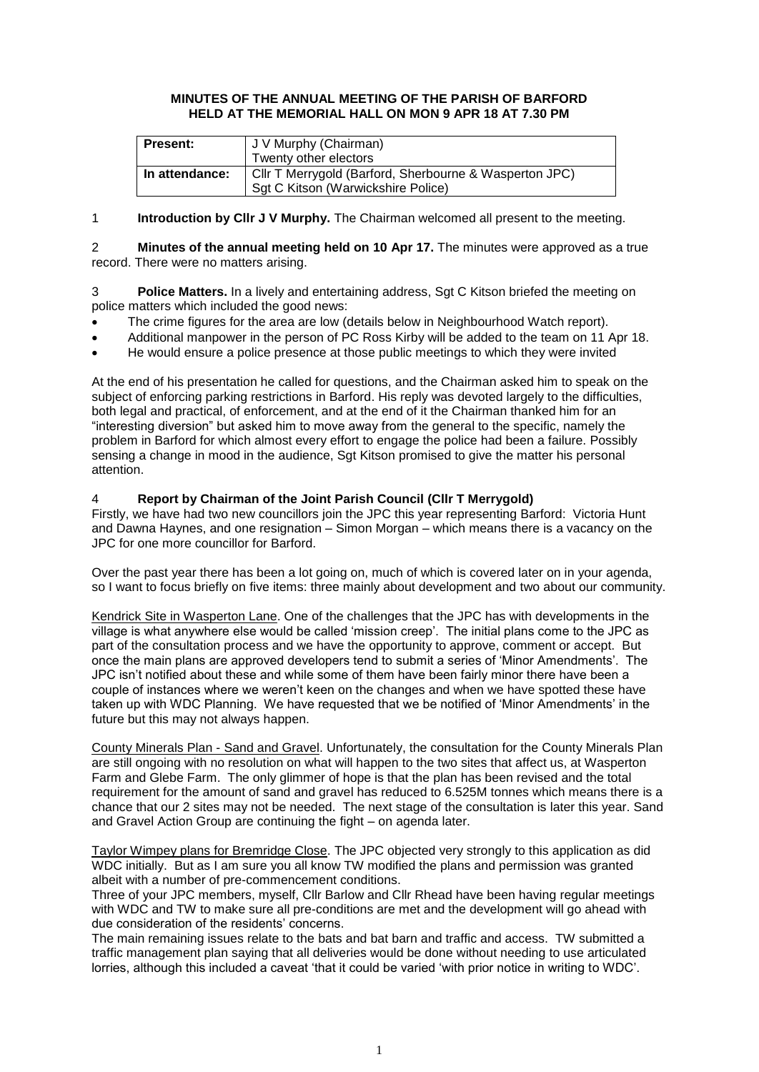### **MINUTES OF THE ANNUAL MEETING OF THE PARISH OF BARFORD HELD AT THE MEMORIAL HALL ON MON 9 APR 18 AT 7.30 PM**

| <b>Present:</b> | J V Murphy (Chairman)                                  |  |  |
|-----------------|--------------------------------------------------------|--|--|
|                 | Twenty other electors                                  |  |  |
| In attendance:  | Cllr T Merrygold (Barford, Sherbourne & Wasperton JPC) |  |  |
|                 | Sgt C Kitson (Warwickshire Police)                     |  |  |

1 **Introduction by Cllr J V Murphy.** The Chairman welcomed all present to the meeting.

2 **Minutes of the annual meeting held on 10 Apr 17.** The minutes were approved as a true record. There were no matters arising.

3 **Police Matters.** In a lively and entertaining address, Sgt C Kitson briefed the meeting on police matters which included the good news:

- The crime figures for the area are low (details below in Neighbourhood Watch report).
- Additional manpower in the person of PC Ross Kirby will be added to the team on 11 Apr 18.
- He would ensure a police presence at those public meetings to which they were invited

At the end of his presentation he called for questions, and the Chairman asked him to speak on the subject of enforcing parking restrictions in Barford. His reply was devoted largely to the difficulties, both legal and practical, of enforcement, and at the end of it the Chairman thanked him for an "interesting diversion" but asked him to move away from the general to the specific, namely the problem in Barford for which almost every effort to engage the police had been a failure. Possibly sensing a change in mood in the audience, Sgt Kitson promised to give the matter his personal attention.

# 4 **Report by Chairman of the Joint Parish Council (Cllr T Merrygold)**

Firstly, we have had two new councillors join the JPC this year representing Barford: Victoria Hunt and Dawna Haynes, and one resignation – Simon Morgan – which means there is a vacancy on the JPC for one more councillor for Barford.

Over the past year there has been a lot going on, much of which is covered later on in your agenda, so I want to focus briefly on five items: three mainly about development and two about our community.

Kendrick Site in Wasperton Lane. One of the challenges that the JPC has with developments in the village is what anywhere else would be called 'mission creep'. The initial plans come to the JPC as part of the consultation process and we have the opportunity to approve, comment or accept. But once the main plans are approved developers tend to submit a series of 'Minor Amendments'. The JPC isn't notified about these and while some of them have been fairly minor there have been a couple of instances where we weren't keen on the changes and when we have spotted these have taken up with WDC Planning. We have requested that we be notified of 'Minor Amendments' in the future but this may not always happen.

County Minerals Plan - Sand and Gravel. Unfortunately, the consultation for the County Minerals Plan are still ongoing with no resolution on what will happen to the two sites that affect us, at Wasperton Farm and Glebe Farm. The only glimmer of hope is that the plan has been revised and the total requirement for the amount of sand and gravel has reduced to 6.525M tonnes which means there is a chance that our 2 sites may not be needed. The next stage of the consultation is later this year. Sand and Gravel Action Group are continuing the fight – on agenda later.

Taylor Wimpey plans for Bremridge Close. The JPC objected very strongly to this application as did WDC initially. But as I am sure you all know TW modified the plans and permission was granted albeit with a number of pre-commencement conditions.

Three of your JPC members, myself, Cllr Barlow and Cllr Rhead have been having regular meetings with WDC and TW to make sure all pre-conditions are met and the development will go ahead with due consideration of the residents' concerns.

The main remaining issues relate to the bats and bat barn and traffic and access. TW submitted a traffic management plan saying that all deliveries would be done without needing to use articulated lorries, although this included a caveat 'that it could be varied 'with prior notice in writing to WDC'.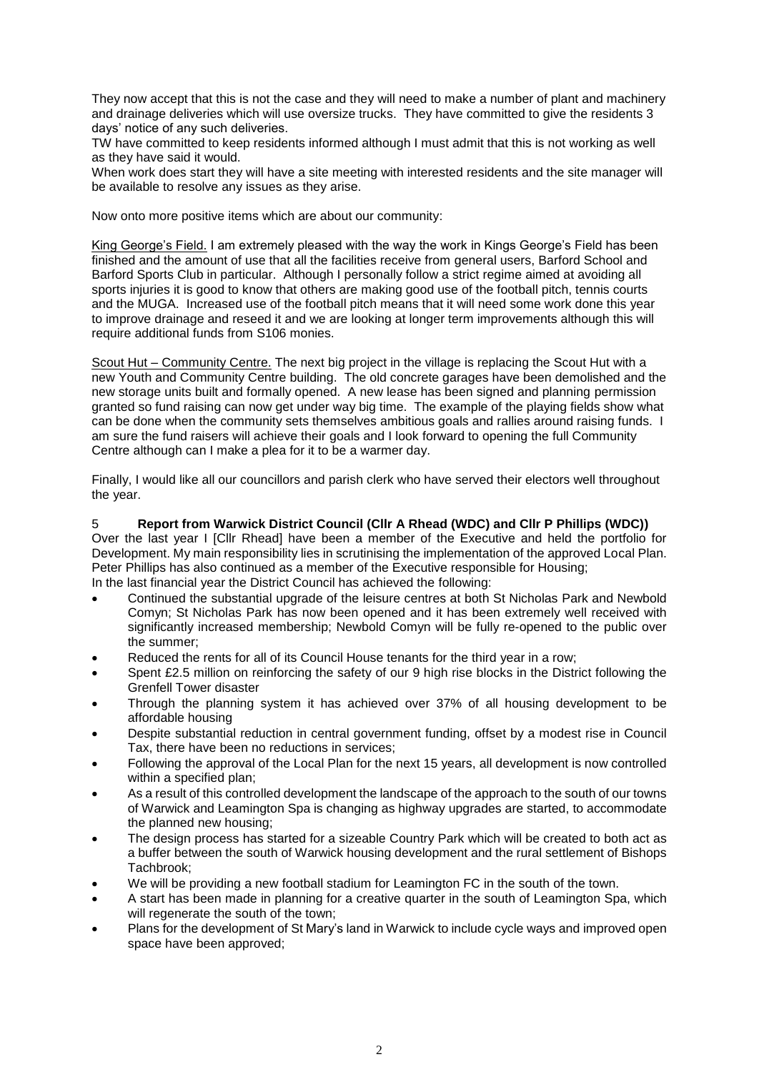They now accept that this is not the case and they will need to make a number of plant and machinery and drainage deliveries which will use oversize trucks. They have committed to give the residents 3 days' notice of any such deliveries.

TW have committed to keep residents informed although I must admit that this is not working as well as they have said it would.

When work does start they will have a site meeting with interested residents and the site manager will be available to resolve any issues as they arise.

Now onto more positive items which are about our community:

King George's Field. I am extremely pleased with the way the work in Kings George's Field has been finished and the amount of use that all the facilities receive from general users, Barford School and Barford Sports Club in particular. Although I personally follow a strict regime aimed at avoiding all sports injuries it is good to know that others are making good use of the football pitch, tennis courts and the MUGA. Increased use of the football pitch means that it will need some work done this year to improve drainage and reseed it and we are looking at longer term improvements although this will require additional funds from S106 monies.

Scout Hut – Community Centre. The next big project in the village is replacing the Scout Hut with a new Youth and Community Centre building. The old concrete garages have been demolished and the new storage units built and formally opened. A new lease has been signed and planning permission granted so fund raising can now get under way big time. The example of the playing fields show what can be done when the community sets themselves ambitious goals and rallies around raising funds. I am sure the fund raisers will achieve their goals and I look forward to opening the full Community Centre although can I make a plea for it to be a warmer day.

Finally, I would like all our councillors and parish clerk who have served their electors well throughout the year.

# 5 **Report from Warwick District Council (Cllr A Rhead (WDC) and Cllr P Phillips (WDC))**

Over the last year I [Cllr Rhead] have been a member of the Executive and held the portfolio for Development. My main responsibility lies in scrutinising the implementation of the approved Local Plan. Peter Phillips has also continued as a member of the Executive responsible for Housing;

- In the last financial year the District Council has achieved the following:
- Continued the substantial upgrade of the leisure centres at both St Nicholas Park and Newbold Comyn; St Nicholas Park has now been opened and it has been extremely well received with significantly increased membership; Newbold Comyn will be fully re-opened to the public over the summer;
- Reduced the rents for all of its Council House tenants for the third year in a row;
- Spent £2.5 million on reinforcing the safety of our 9 high rise blocks in the District following the Grenfell Tower disaster
- Through the planning system it has achieved over 37% of all housing development to be affordable housing
- Despite substantial reduction in central government funding, offset by a modest rise in Council Tax, there have been no reductions in services;
- Following the approval of the Local Plan for the next 15 years, all development is now controlled within a specified plan;
- As a result of this controlled development the landscape of the approach to the south of our towns of Warwick and Leamington Spa is changing as highway upgrades are started, to accommodate the planned new housing;
- The design process has started for a sizeable Country Park which will be created to both act as a buffer between the south of Warwick housing development and the rural settlement of Bishops Tachbrook;
- We will be providing a new football stadium for Leamington FC in the south of the town.
- A start has been made in planning for a creative quarter in the south of Leamington Spa, which will regenerate the south of the town;
- Plans for the development of St Mary's land in Warwick to include cycle ways and improved open space have been approved;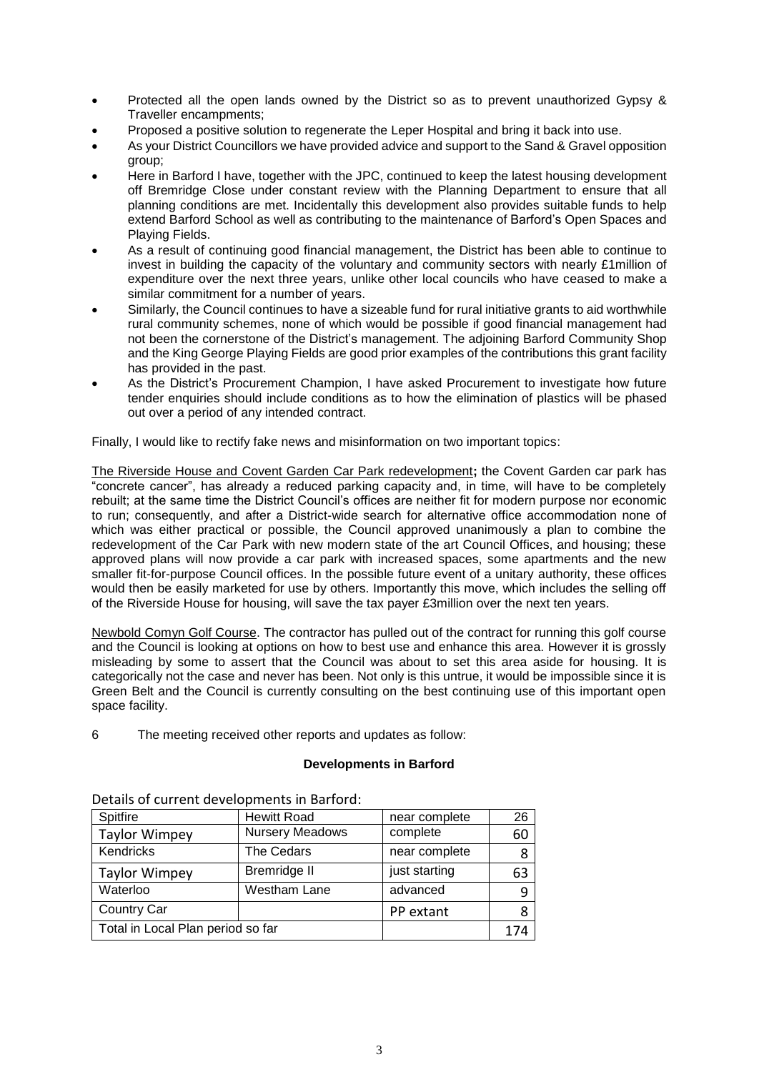- Protected all the open lands owned by the District so as to prevent unauthorized Gypsy & Traveller encampments;
- Proposed a positive solution to regenerate the Leper Hospital and bring it back into use.
- As your District Councillors we have provided advice and support to the Sand & Gravel opposition group;
- Here in Barford I have, together with the JPC, continued to keep the latest housing development off Bremridge Close under constant review with the Planning Department to ensure that all planning conditions are met. Incidentally this development also provides suitable funds to help extend Barford School as well as contributing to the maintenance of Barford's Open Spaces and Playing Fields.
- As a result of continuing good financial management, the District has been able to continue to invest in building the capacity of the voluntary and community sectors with nearly £1million of expenditure over the next three years, unlike other local councils who have ceased to make a similar commitment for a number of years.
- Similarly, the Council continues to have a sizeable fund for rural initiative grants to aid worthwhile rural community schemes, none of which would be possible if good financial management had not been the cornerstone of the District's management. The adjoining Barford Community Shop and the King George Playing Fields are good prior examples of the contributions this grant facility has provided in the past.
- As the District's Procurement Champion, I have asked Procurement to investigate how future tender enquiries should include conditions as to how the elimination of plastics will be phased out over a period of any intended contract.

Finally, I would like to rectify fake news and misinformation on two important topics:

The Riverside House and Covent Garden Car Park redevelopment**;** the Covent Garden car park has "concrete cancer", has already a reduced parking capacity and, in time, will have to be completely rebuilt; at the same time the District Council's offices are neither fit for modern purpose nor economic to run; consequently, and after a District-wide search for alternative office accommodation none of which was either practical or possible, the Council approved unanimously a plan to combine the redevelopment of the Car Park with new modern state of the art Council Offices, and housing; these approved plans will now provide a car park with increased spaces, some apartments and the new smaller fit-for-purpose Council offices. In the possible future event of a unitary authority, these offices would then be easily marketed for use by others. Importantly this move, which includes the selling off of the Riverside House for housing, will save the tax payer £3million over the next ten years.

Newbold Comyn Golf Course. The contractor has pulled out of the contract for running this golf course and the Council is looking at options on how to best use and enhance this area. However it is grossly misleading by some to assert that the Council was about to set this area aside for housing. It is categorically not the case and never has been. Not only is this untrue, it would be impossible since it is Green Belt and the Council is currently consulting on the best continuing use of this important open space facility.

6 The meeting received other reports and updates as follow:

# **Developments in Barford**

| Spitfire                          | <b>Hewitt Road</b><br>near complete |           | 26  |
|-----------------------------------|-------------------------------------|-----------|-----|
| <b>Taylor Wimpey</b>              | <b>Nursery Meadows</b><br>complete  |           | 60  |
| Kendricks                         | <b>The Cedars</b><br>near complete  |           | 8   |
| <b>Taylor Wimpey</b>              | just starting<br>Bremridge II       |           | 63  |
| Waterloo                          | Westham Lane<br>advanced            |           | 9   |
| <b>Country Car</b>                |                                     | PP extant | 8   |
| Total in Local Plan period so far |                                     |           | 174 |

Details of current developments in Barford: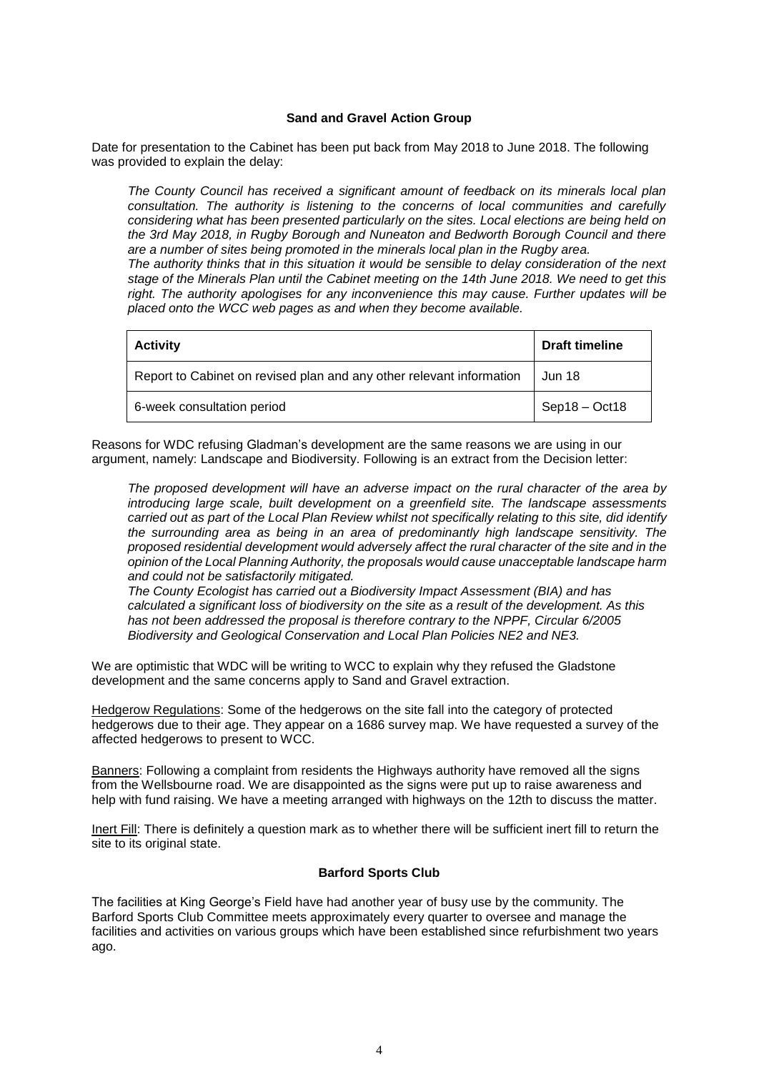### **Sand and Gravel Action Group**

Date for presentation to the Cabinet has been put back from May 2018 to June 2018. The following was provided to explain the delay:

*The County Council has received a significant amount of feedback on its minerals local plan consultation. The authority is listening to the concerns of local communities and carefully considering what has been presented particularly on the sites. Local elections are being held on the 3rd May 2018, in Rugby Borough and Nuneaton and Bedworth Borough Council and there are a number of sites being promoted in the minerals local plan in the Rugby area.*

*The authority thinks that in this situation it would be sensible to delay consideration of the next stage of the Minerals Plan until the Cabinet meeting on the 14th June 2018. We need to get this right. The authority apologises for any inconvenience this may cause. Further updates will be placed onto the WCC web pages as and when they become available.*

| <b>Activity</b>                                                      | <b>Draft timeline</b> |  |
|----------------------------------------------------------------------|-----------------------|--|
| Report to Cabinet on revised plan and any other relevant information | Jun 18                |  |
| 6-week consultation period                                           | $Sep18 - Oct18$       |  |

Reasons for WDC refusing Gladman's development are the same reasons we are using in our argument, namely: Landscape and Biodiversity. Following is an extract from the Decision letter:

*The proposed development will have an adverse impact on the rural character of the area by introducing large scale, built development on a greenfield site. The landscape assessments* carried out as part of the Local Plan Review whilst not specifically relating to this site, did identify *the surrounding area as being in an area of predominantly high landscape sensitivity. The proposed residential development would adversely affect the rural character of the site and in the opinion of the Local Planning Authority, the proposals would cause unacceptable landscape harm and could not be satisfactorily mitigated.*

*The County Ecologist has carried out a Biodiversity Impact Assessment (BIA) and has calculated a significant loss of biodiversity on the site as a result of the development. As this has not been addressed the proposal is therefore contrary to the NPPF, Circular 6/2005 Biodiversity and Geological Conservation and Local Plan Policies NE2 and NE3.*

We are optimistic that WDC will be writing to WCC to explain why they refused the Gladstone development and the same concerns apply to Sand and Gravel extraction.

Hedgerow Regulations: Some of the hedgerows on the site fall into the category of protected hedgerows due to their age. They appear on a 1686 survey map. We have requested a survey of the affected hedgerows to present to WCC.

Banners: Following a complaint from residents the Highways authority have removed all the signs from the Wellsbourne road. We are disappointed as the signs were put up to raise awareness and help with fund raising. We have a meeting arranged with highways on the 12th to discuss the matter.

Inert Fill: There is definitely a question mark as to whether there will be sufficient inert fill to return the site to its original state.

# **Barford Sports Club**

The facilities at King George's Field have had another year of busy use by the community. The Barford Sports Club Committee meets approximately every quarter to oversee and manage the facilities and activities on various groups which have been established since refurbishment two years ago.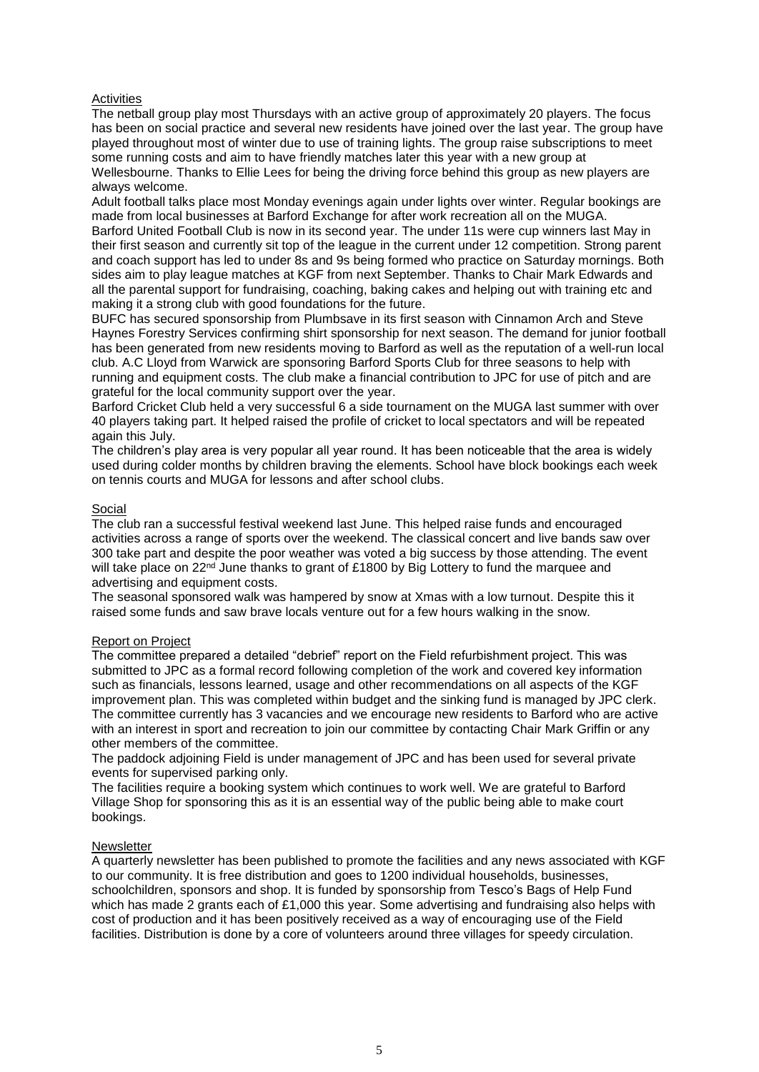### **Activities**

The netball group play most Thursdays with an active group of approximately 20 players. The focus has been on social practice and several new residents have joined over the last year. The group have played throughout most of winter due to use of training lights. The group raise subscriptions to meet some running costs and aim to have friendly matches later this year with a new group at Wellesbourne. Thanks to Ellie Lees for being the driving force behind this group as new players are always welcome.

Adult football talks place most Monday evenings again under lights over winter. Regular bookings are made from local businesses at Barford Exchange for after work recreation all on the MUGA.

Barford United Football Club is now in its second year. The under 11s were cup winners last May in their first season and currently sit top of the league in the current under 12 competition. Strong parent and coach support has led to under 8s and 9s being formed who practice on Saturday mornings. Both sides aim to play league matches at KGF from next September. Thanks to Chair Mark Edwards and all the parental support for fundraising, coaching, baking cakes and helping out with training etc and making it a strong club with good foundations for the future.

BUFC has secured sponsorship from Plumbsave in its first season with Cinnamon Arch and Steve Haynes Forestry Services confirming shirt sponsorship for next season. The demand for junior football has been generated from new residents moving to Barford as well as the reputation of a well-run local club. A.C Lloyd from Warwick are sponsoring Barford Sports Club for three seasons to help with running and equipment costs. The club make a financial contribution to JPC for use of pitch and are grateful for the local community support over the year.

Barford Cricket Club held a very successful 6 a side tournament on the MUGA last summer with over 40 players taking part. It helped raised the profile of cricket to local spectators and will be repeated again this July.

The children's play area is very popular all year round. It has been noticeable that the area is widely used during colder months by children braving the elements. School have block bookings each week on tennis courts and MUGA for lessons and after school clubs.

### Social

The club ran a successful festival weekend last June. This helped raise funds and encouraged activities across a range of sports over the weekend. The classical concert and live bands saw over 300 take part and despite the poor weather was voted a big success by those attending. The event will take place on 22<sup>nd</sup> June thanks to grant of £1800 by Big Lottery to fund the marquee and advertising and equipment costs.

The seasonal sponsored walk was hampered by snow at Xmas with a low turnout. Despite this it raised some funds and saw brave locals venture out for a few hours walking in the snow.

### Report on Project

The committee prepared a detailed "debrief" report on the Field refurbishment project. This was submitted to JPC as a formal record following completion of the work and covered key information such as financials, lessons learned, usage and other recommendations on all aspects of the KGF improvement plan. This was completed within budget and the sinking fund is managed by JPC clerk. The committee currently has 3 vacancies and we encourage new residents to Barford who are active with an interest in sport and recreation to join our committee by contacting Chair Mark Griffin or any other members of the committee.

The paddock adjoining Field is under management of JPC and has been used for several private events for supervised parking only.

The facilities require a booking system which continues to work well. We are grateful to Barford Village Shop for sponsoring this as it is an essential way of the public being able to make court bookings.

### **Newsletter**

A quarterly newsletter has been published to promote the facilities and any news associated with KGF to our community. It is free distribution and goes to 1200 individual households, businesses, schoolchildren, sponsors and shop. It is funded by sponsorship from Tesco's Bags of Help Fund which has made 2 grants each of £1,000 this year. Some advertising and fundraising also helps with cost of production and it has been positively received as a way of encouraging use of the Field facilities. Distribution is done by a core of volunteers around three villages for speedy circulation.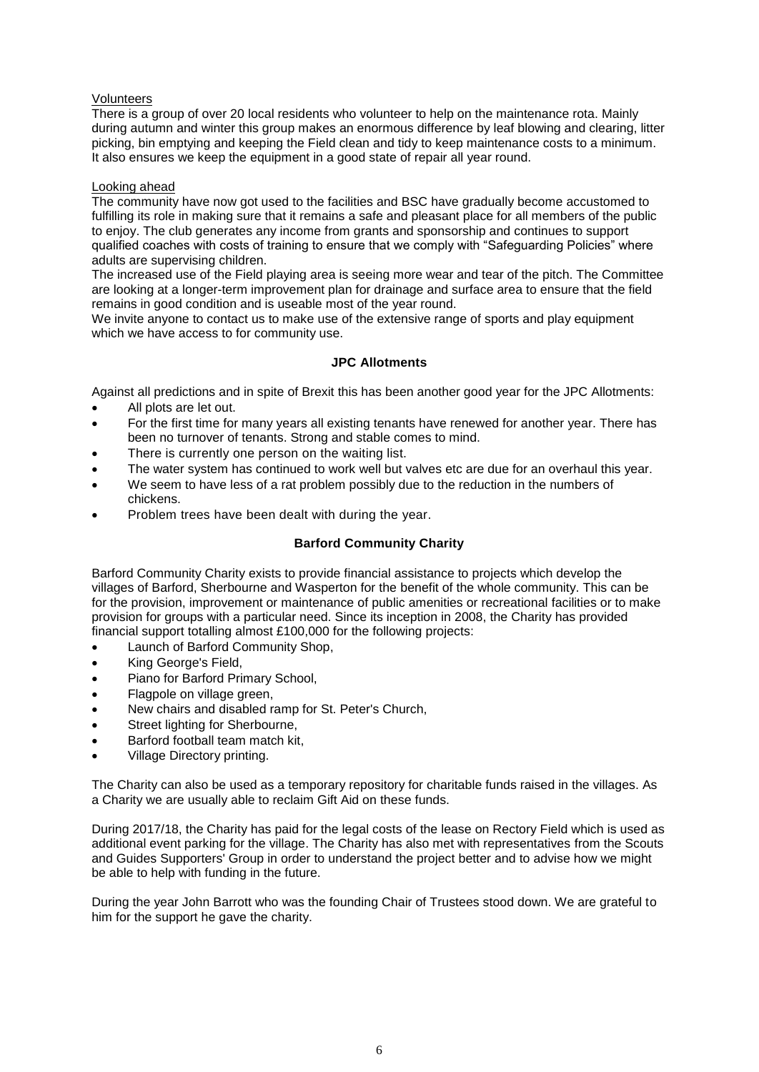### Volunteers

There is a group of over 20 local residents who volunteer to help on the maintenance rota. Mainly during autumn and winter this group makes an enormous difference by leaf blowing and clearing, litter picking, bin emptying and keeping the Field clean and tidy to keep maintenance costs to a minimum. It also ensures we keep the equipment in a good state of repair all year round.

### Looking ahead

The community have now got used to the facilities and BSC have gradually become accustomed to fulfilling its role in making sure that it remains a safe and pleasant place for all members of the public to enjoy. The club generates any income from grants and sponsorship and continues to support qualified coaches with costs of training to ensure that we comply with "Safeguarding Policies" where adults are supervising children.

The increased use of the Field playing area is seeing more wear and tear of the pitch. The Committee are looking at a longer-term improvement plan for drainage and surface area to ensure that the field remains in good condition and is useable most of the year round.

We invite anyone to contact us to make use of the extensive range of sports and play equipment which we have access to for community use.

# **JPC Allotments**

Against all predictions and in spite of Brexit this has been another good year for the JPC Allotments:

- All plots are let out.
- For the first time for many years all existing tenants have renewed for another year. There has been no turnover of tenants. Strong and stable comes to mind.
- There is currently one person on the waiting list.
- The water system has continued to work well but valves etc are due for an overhaul this year.
- We seem to have less of a rat problem possibly due to the reduction in the numbers of chickens.
- Problem trees have been dealt with during the year.

# **Barford Community Charity**

Barford Community Charity exists to provide financial assistance to projects which develop the villages of Barford, Sherbourne and Wasperton for the benefit of the whole community. This can be for the provision, improvement or maintenance of public amenities or recreational facilities or to make provision for groups with a particular need. Since its inception in 2008, the Charity has provided financial support totalling almost £100,000 for the following projects:

- Launch of Barford Community Shop,
- King George's Field,
- Piano for Barford Primary School,
- Flagpole on village green,
- New chairs and disabled ramp for St. Peter's Church,
- Street lighting for Sherbourne,
- Barford football team match kit,
- Village Directory printing.

The Charity can also be used as a temporary repository for charitable funds raised in the villages. As a Charity we are usually able to reclaim Gift Aid on these funds.

During 2017/18, the Charity has paid for the legal costs of the lease on Rectory Field which is used as additional event parking for the village. The Charity has also met with representatives from the Scouts and Guides Supporters' Group in order to understand the project better and to advise how we might be able to help with funding in the future.

During the year John Barrott who was the founding Chair of Trustees stood down. We are grateful to him for the support he gave the charity.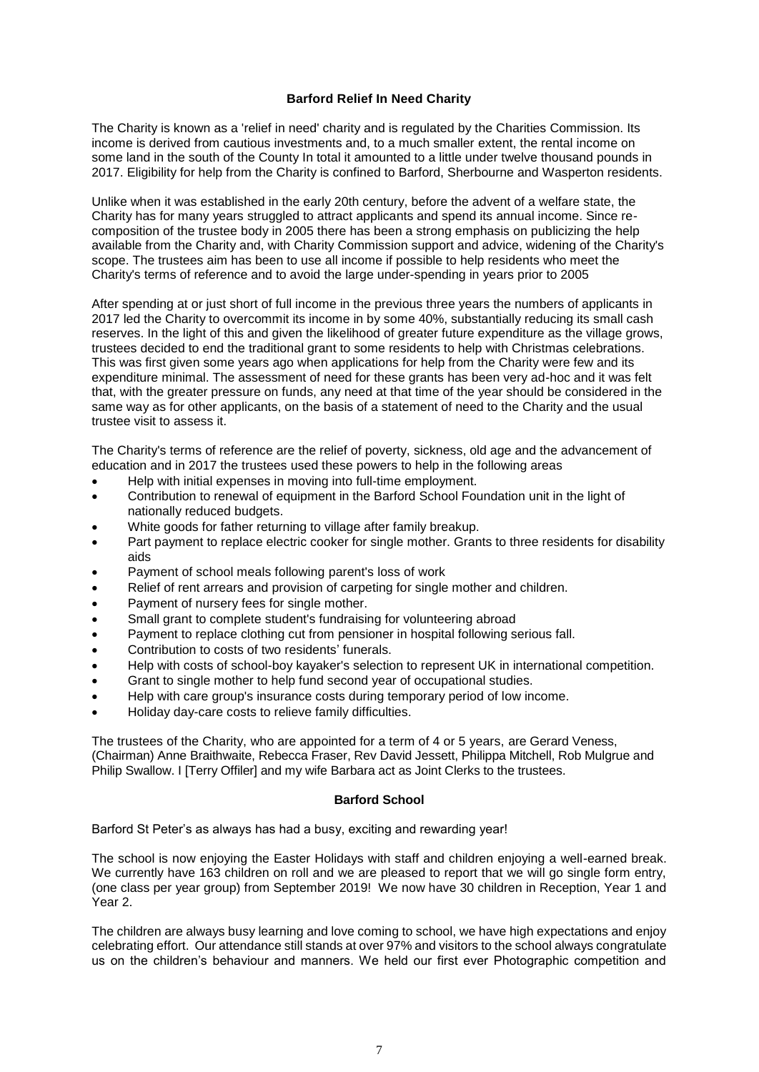## **Barford Relief In Need Charity**

The Charity is known as a 'relief in need' charity and is regulated by the Charities Commission. Its income is derived from cautious investments and, to a much smaller extent, the rental income on some land in the south of the County In total it amounted to a little under twelve thousand pounds in 2017. Eligibility for help from the Charity is confined to Barford, Sherbourne and Wasperton residents.

Unlike when it was established in the early 20th century, before the advent of a welfare state, the Charity has for many years struggled to attract applicants and spend its annual income. Since recomposition of the trustee body in 2005 there has been a strong emphasis on publicizing the help available from the Charity and, with Charity Commission support and advice, widening of the Charity's scope. The trustees aim has been to use all income if possible to help residents who meet the Charity's terms of reference and to avoid the large under-spending in years prior to 2005

After spending at or just short of full income in the previous three years the numbers of applicants in 2017 led the Charity to overcommit its income in by some 40%, substantially reducing its small cash reserves. In the light of this and given the likelihood of greater future expenditure as the village grows, trustees decided to end the traditional grant to some residents to help with Christmas celebrations. This was first given some years ago when applications for help from the Charity were few and its expenditure minimal. The assessment of need for these grants has been very ad-hoc and it was felt that, with the greater pressure on funds, any need at that time of the year should be considered in the same way as for other applicants, on the basis of a statement of need to the Charity and the usual trustee visit to assess it.

The Charity's terms of reference are the relief of poverty, sickness, old age and the advancement of education and in 2017 the trustees used these powers to help in the following areas

- Help with initial expenses in moving into full-time employment.
- Contribution to renewal of equipment in the Barford School Foundation unit in the light of nationally reduced budgets.
- White goods for father returning to village after family breakup.
- Part payment to replace electric cooker for single mother. Grants to three residents for disability aids
- Payment of school meals following parent's loss of work
- Relief of rent arrears and provision of carpeting for single mother and children.
- Payment of nursery fees for single mother.
- Small grant to complete student's fundraising for volunteering abroad
- Payment to replace clothing cut from pensioner in hospital following serious fall.
- Contribution to costs of two residents' funerals.
- Help with costs of school-boy kayaker's selection to represent UK in international competition.
- Grant to single mother to help fund second year of occupational studies.
- Help with care group's insurance costs during temporary period of low income.
- Holiday day-care costs to relieve family difficulties.

The trustees of the Charity, who are appointed for a term of 4 or 5 years, are Gerard Veness, (Chairman) Anne Braithwaite, Rebecca Fraser, Rev David Jessett, Philippa Mitchell, Rob Mulgrue and Philip Swallow. I [Terry Offiler] and my wife Barbara act as Joint Clerks to the trustees.

### **Barford School**

Barford St Peter's as always has had a busy, exciting and rewarding year!

The school is now enjoying the Easter Holidays with staff and children enjoying a well-earned break. We currently have 163 children on roll and we are pleased to report that we will go single form entry, (one class per year group) from September 2019! We now have 30 children in Reception, Year 1 and Year 2.

The children are always busy learning and love coming to school, we have high expectations and enjoy celebrating effort. Our attendance still stands at over 97% and visitors to the school always congratulate us on the children's behaviour and manners. We held our first ever Photographic competition and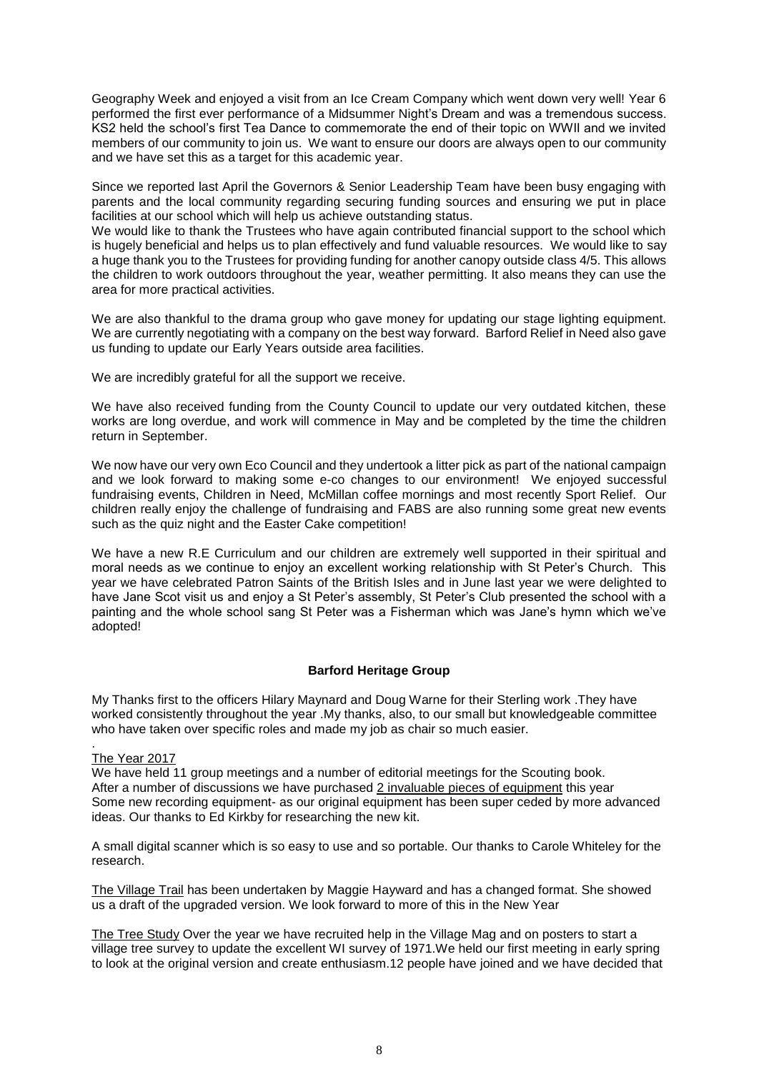Geography Week and enjoyed a visit from an Ice Cream Company which went down very well! Year 6 performed the first ever performance of a Midsummer Night's Dream and was a tremendous success. KS2 held the school's first Tea Dance to commemorate the end of their topic on WWII and we invited members of our community to join us. We want to ensure our doors are always open to our community and we have set this as a target for this academic year.

Since we reported last April the Governors & Senior Leadership Team have been busy engaging with parents and the local community regarding securing funding sources and ensuring we put in place facilities at our school which will help us achieve outstanding status.

We would like to thank the Trustees who have again contributed financial support to the school which is hugely beneficial and helps us to plan effectively and fund valuable resources. We would like to say a huge thank you to the Trustees for providing funding for another canopy outside class 4/5. This allows the children to work outdoors throughout the year, weather permitting. It also means they can use the area for more practical activities.

We are also thankful to the drama group who gave money for updating our stage lighting equipment. We are currently negotiating with a company on the best way forward. Barford Relief in Need also gave us funding to update our Early Years outside area facilities.

We are incredibly grateful for all the support we receive.

We have also received funding from the County Council to update our very outdated kitchen, these works are long overdue, and work will commence in May and be completed by the time the children return in September.

We now have our very own Eco Council and they undertook a litter pick as part of the national campaign and we look forward to making some e-co changes to our environment! We enjoyed successful fundraising events, Children in Need, McMillan coffee mornings and most recently Sport Relief. Our children really enjoy the challenge of fundraising and FABS are also running some great new events such as the quiz night and the Easter Cake competition!

We have a new R.E Curriculum and our children are extremely well supported in their spiritual and moral needs as we continue to enjoy an excellent working relationship with St Peter's Church. This year we have celebrated Patron Saints of the British Isles and in June last year we were delighted to have Jane Scot visit us and enjoy a St Peter's assembly, St Peter's Club presented the school with a painting and the whole school sang St Peter was a Fisherman which was Jane's hymn which we've adopted!

### **Barford Heritage Group**

My Thanks first to the officers Hilary Maynard and Doug Warne for their Sterling work .They have worked consistently throughout the year .My thanks, also, to our small but knowledgeable committee who have taken over specific roles and made my job as chair so much easier.

### The Year 2017

.

We have held 11 group meetings and a number of editorial meetings for the Scouting book. After a number of discussions we have purchased 2 invaluable pieces of equipment this year Some new recording equipment- as our original equipment has been super ceded by more advanced ideas. Our thanks to Ed Kirkby for researching the new kit.

A small digital scanner which is so easy to use and so portable. Our thanks to Carole Whiteley for the research.

The Village Trail has been undertaken by Maggie Hayward and has a changed format. She showed us a draft of the upgraded version. We look forward to more of this in the New Year

The Tree Study Over the year we have recruited help in the Village Mag and on posters to start a village tree survey to update the excellent WI survey of 1971.We held our first meeting in early spring to look at the original version and create enthusiasm.12 people have joined and we have decided that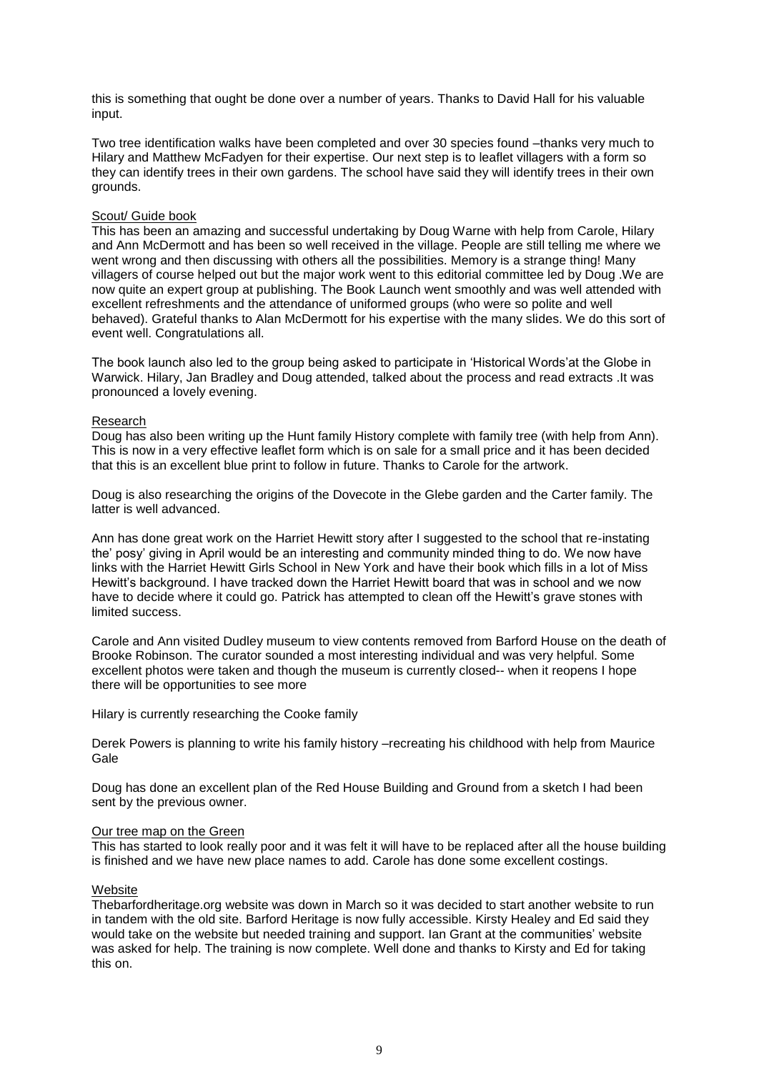this is something that ought be done over a number of years. Thanks to David Hall for his valuable input.

Two tree identification walks have been completed and over 30 species found –thanks very much to Hilary and Matthew McFadyen for their expertise. Our next step is to leaflet villagers with a form so they can identify trees in their own gardens. The school have said they will identify trees in their own grounds.

### Scout/ Guide book

This has been an amazing and successful undertaking by Doug Warne with help from Carole, Hilary and Ann McDermott and has been so well received in the village. People are still telling me where we went wrong and then discussing with others all the possibilities. Memory is a strange thing! Many villagers of course helped out but the major work went to this editorial committee led by Doug .We are now quite an expert group at publishing. The Book Launch went smoothly and was well attended with excellent refreshments and the attendance of uniformed groups (who were so polite and well behaved). Grateful thanks to Alan McDermott for his expertise with the many slides. We do this sort of event well. Congratulations all.

The book launch also led to the group being asked to participate in 'Historical Words'at the Globe in Warwick. Hilary, Jan Bradley and Doug attended, talked about the process and read extracts .It was pronounced a lovely evening.

#### Research

Doug has also been writing up the Hunt family History complete with family tree (with help from Ann). This is now in a very effective leaflet form which is on sale for a small price and it has been decided that this is an excellent blue print to follow in future. Thanks to Carole for the artwork.

Doug is also researching the origins of the Dovecote in the Glebe garden and the Carter family. The latter is well advanced.

Ann has done great work on the Harriet Hewitt story after I suggested to the school that re-instating the' posy' giving in April would be an interesting and community minded thing to do. We now have links with the Harriet Hewitt Girls School in New York and have their book which fills in a lot of Miss Hewitt's background. I have tracked down the Harriet Hewitt board that was in school and we now have to decide where it could go. Patrick has attempted to clean off the Hewitt's grave stones with limited success.

Carole and Ann visited Dudley museum to view contents removed from Barford House on the death of Brooke Robinson. The curator sounded a most interesting individual and was very helpful. Some excellent photos were taken and though the museum is currently closed-- when it reopens I hope there will be opportunities to see more

Hilary is currently researching the Cooke family

Derek Powers is planning to write his family history –recreating his childhood with help from Maurice **Gale** 

Doug has done an excellent plan of the Red House Building and Ground from a sketch I had been sent by the previous owner.

#### Our tree map on the Green

This has started to look really poor and it was felt it will have to be replaced after all the house building is finished and we have new place names to add. Carole has done some excellent costings.

#### Website

Thebarfordheritage.org website was down in March so it was decided to start another website to run in tandem with the old site. Barford Heritage is now fully accessible. Kirsty Healey and Ed said they would take on the website but needed training and support. Ian Grant at the communities' website was asked for help. The training is now complete. Well done and thanks to Kirsty and Ed for taking this on.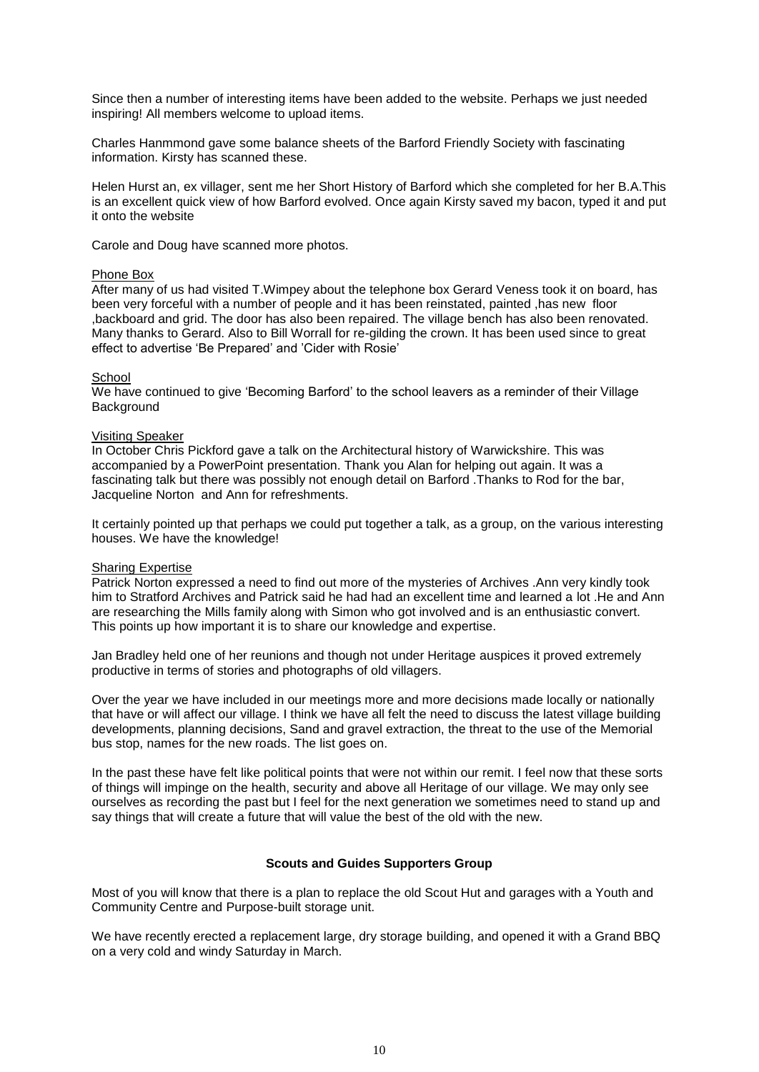Since then a number of interesting items have been added to the website. Perhaps we just needed inspiring! All members welcome to upload items.

Charles Hanmmond gave some balance sheets of the Barford Friendly Society with fascinating information. Kirsty has scanned these.

Helen Hurst an, ex villager, sent me her Short History of Barford which she completed for her B.A.This is an excellent quick view of how Barford evolved. Once again Kirsty saved my bacon, typed it and put it onto the website

Carole and Doug have scanned more photos.

#### Phone Box

After many of us had visited T.Wimpey about the telephone box Gerard Veness took it on board, has been very forceful with a number of people and it has been reinstated, painted ,has new floor ,backboard and grid. The door has also been repaired. The village bench has also been renovated. Many thanks to Gerard. Also to Bill Worrall for re-gilding the crown. It has been used since to great effect to advertise 'Be Prepared' and 'Cider with Rosie'

#### **School**

We have continued to give 'Becoming Barford' to the school leavers as a reminder of their Village Background

#### Visiting Speaker

In October Chris Pickford gave a talk on the Architectural history of Warwickshire. This was accompanied by a PowerPoint presentation. Thank you Alan for helping out again. It was a fascinating talk but there was possibly not enough detail on Barford .Thanks to Rod for the bar, Jacqueline Norton and Ann for refreshments.

It certainly pointed up that perhaps we could put together a talk, as a group, on the various interesting houses. We have the knowledge!

#### Sharing Expertise

Patrick Norton expressed a need to find out more of the mysteries of Archives .Ann very kindly took him to Stratford Archives and Patrick said he had had an excellent time and learned a lot .He and Ann are researching the Mills family along with Simon who got involved and is an enthusiastic convert. This points up how important it is to share our knowledge and expertise.

Jan Bradley held one of her reunions and though not under Heritage auspices it proved extremely productive in terms of stories and photographs of old villagers.

Over the year we have included in our meetings more and more decisions made locally or nationally that have or will affect our village. I think we have all felt the need to discuss the latest village building developments, planning decisions, Sand and gravel extraction, the threat to the use of the Memorial bus stop, names for the new roads. The list goes on.

In the past these have felt like political points that were not within our remit. I feel now that these sorts of things will impinge on the health, security and above all Heritage of our village. We may only see ourselves as recording the past but I feel for the next generation we sometimes need to stand up and say things that will create a future that will value the best of the old with the new.

### **Scouts and Guides Supporters Group**

Most of you will know that there is a plan to replace the old Scout Hut and garages with a Youth and Community Centre and Purpose-built storage unit.

We have recently erected a replacement large, dry storage building, and opened it with a Grand BBQ on a very cold and windy Saturday in March.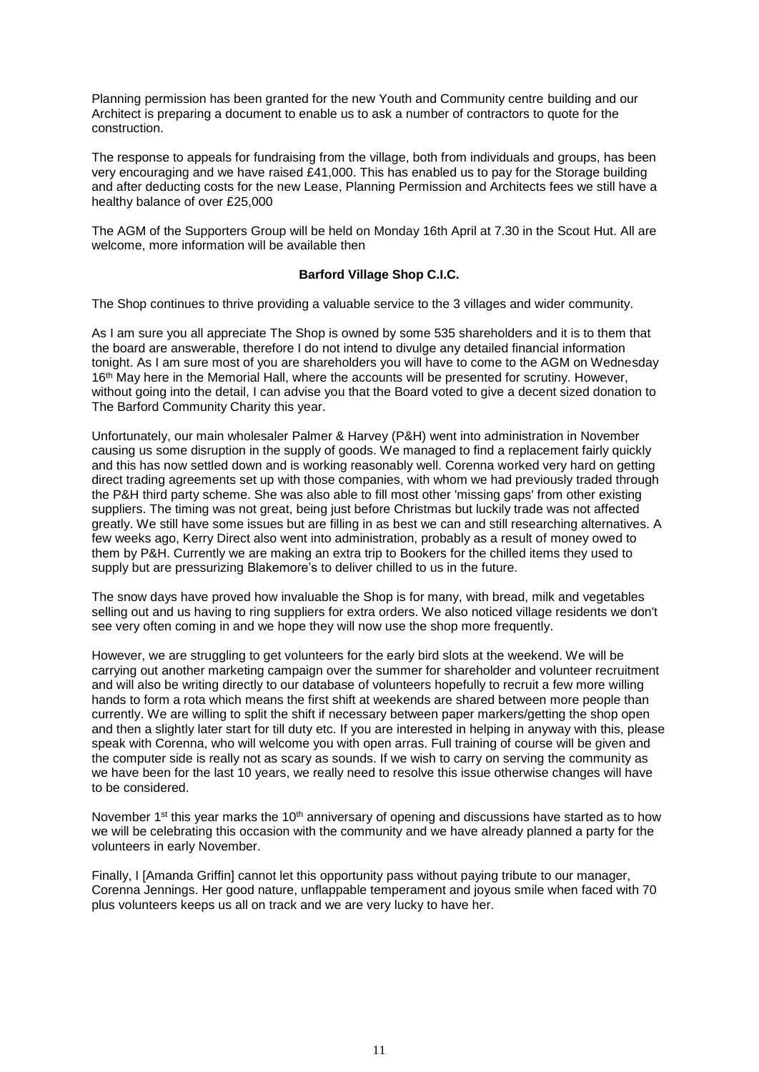Planning permission has been granted for the new Youth and Community centre building and our Architect is preparing a document to enable us to ask a number of contractors to quote for the construction.

The response to appeals for fundraising from the village, both from individuals and groups, has been very encouraging and we have raised £41,000. This has enabled us to pay for the Storage building and after deducting costs for the new Lease, Planning Permission and Architects fees we still have a healthy balance of over £25,000

The AGM of the Supporters Group will be held on Monday 16th April at 7.30 in the Scout Hut. All are welcome, more information will be available then

### **Barford Village Shop C.I.C.**

The Shop continues to thrive providing a valuable service to the 3 villages and wider community.

As I am sure you all appreciate The Shop is owned by some 535 shareholders and it is to them that the board are answerable, therefore I do not intend to divulge any detailed financial information tonight. As I am sure most of you are shareholders you will have to come to the AGM on Wednesday 16<sup>th</sup> May here in the Memorial Hall, where the accounts will be presented for scrutiny. However, without going into the detail, I can advise you that the Board voted to give a decent sized donation to The Barford Community Charity this year.

Unfortunately, our main wholesaler Palmer & Harvey (P&H) went into administration in November causing us some disruption in the supply of goods. We managed to find a replacement fairly quickly and this has now settled down and is working reasonably well. Corenna worked very hard on getting direct trading agreements set up with those companies, with whom we had previously traded through the P&H third party scheme. She was also able to fill most other 'missing gaps' from other existing suppliers. The timing was not great, being just before Christmas but luckily trade was not affected greatly. We still have some issues but are filling in as best we can and still researching alternatives. A few weeks ago, Kerry Direct also went into administration, probably as a result of money owed to them by P&H. Currently we are making an extra trip to Bookers for the chilled items they used to supply but are pressurizing Blakemore's to deliver chilled to us in the future.

The snow days have proved how invaluable the Shop is for many, with bread, milk and vegetables selling out and us having to ring suppliers for extra orders. We also noticed village residents we don't see very often coming in and we hope they will now use the shop more frequently.

However, we are struggling to get volunteers for the early bird slots at the weekend. We will be carrying out another marketing campaign over the summer for shareholder and volunteer recruitment and will also be writing directly to our database of volunteers hopefully to recruit a few more willing hands to form a rota which means the first shift at weekends are shared between more people than currently. We are willing to split the shift if necessary between paper markers/getting the shop open and then a slightly later start for till duty etc. If you are interested in helping in anyway with this, please speak with Corenna, who will welcome you with open arras. Full training of course will be given and the computer side is really not as scary as sounds. If we wish to carry on serving the community as we have been for the last 10 years, we really need to resolve this issue otherwise changes will have to be considered.

November 1<sup>st</sup> this year marks the 10<sup>th</sup> anniversary of opening and discussions have started as to how we will be celebrating this occasion with the community and we have already planned a party for the volunteers in early November.

Finally, I [Amanda Griffin] cannot let this opportunity pass without paying tribute to our manager, Corenna Jennings. Her good nature, unflappable temperament and joyous smile when faced with 70 plus volunteers keeps us all on track and we are very lucky to have her.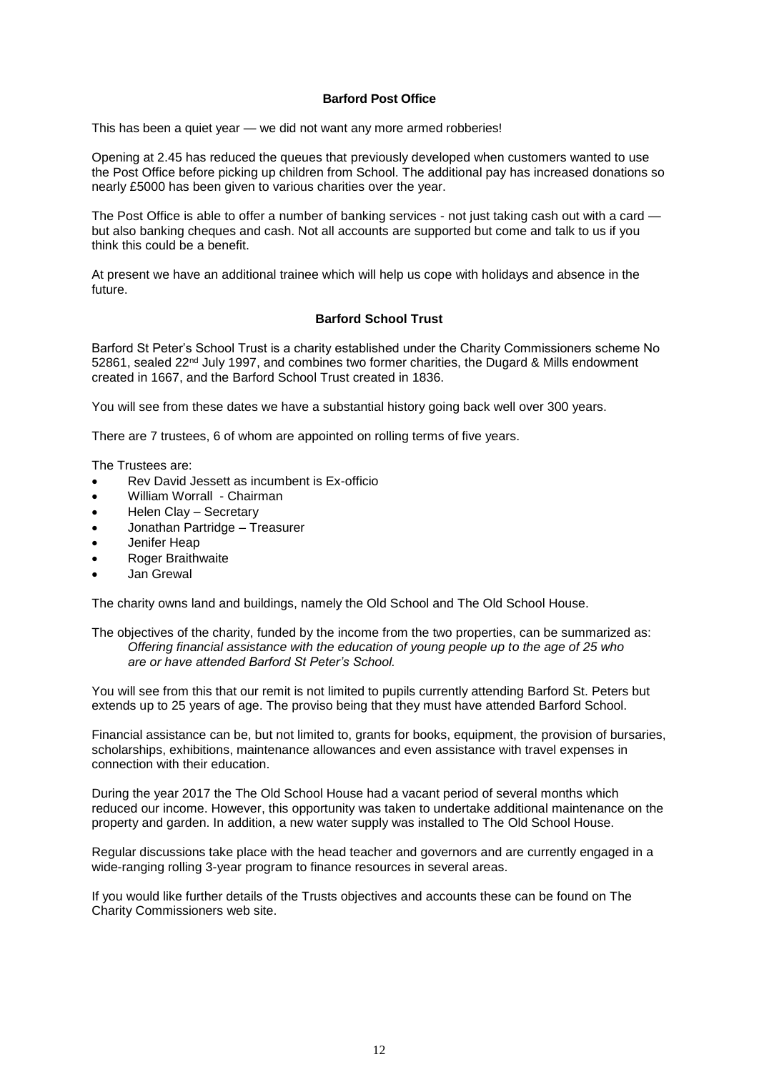### **Barford Post Office**

This has been a quiet year — we did not want any more armed robberies!

Opening at 2.45 has reduced the queues that previously developed when customers wanted to use the Post Office before picking up children from School. The additional pay has increased donations so nearly £5000 has been given to various charities over the year.

The Post Office is able to offer a number of banking services - not just taking cash out with a card but also banking cheques and cash. Not all accounts are supported but come and talk to us if you think this could be a benefit.

At present we have an additional trainee which will help us cope with holidays and absence in the future.

### **Barford School Trust**

Barford St Peter's School Trust is a charity established under the Charity Commissioners scheme No  $52861$ , sealed  $22<sup>nd</sup>$  July 1997, and combines two former charities, the Dugard & Mills endowment created in 1667, and the Barford School Trust created in 1836.

You will see from these dates we have a substantial history going back well over 300 years.

There are 7 trustees, 6 of whom are appointed on rolling terms of five years.

The Trustees are:

- Rev David Jessett as incumbent is Ex-officio
- William Worrall Chairman
- Helen Clay Secretary
- Jonathan Partridge Treasurer
- Jenifer Heap
- **Roger Braithwaite**
- Jan Grewal

The charity owns land and buildings, namely the Old School and The Old School House.

The objectives of the charity, funded by the income from the two properties, can be summarized as: *Offering financial assistance with the education of young people up to the age of 25 who are or have attended Barford St Peter's School.*

You will see from this that our remit is not limited to pupils currently attending Barford St. Peters but extends up to 25 years of age. The proviso being that they must have attended Barford School.

Financial assistance can be, but not limited to, grants for books, equipment, the provision of bursaries, scholarships, exhibitions, maintenance allowances and even assistance with travel expenses in connection with their education.

During the year 2017 the The Old School House had a vacant period of several months which reduced our income. However, this opportunity was taken to undertake additional maintenance on the property and garden. In addition, a new water supply was installed to The Old School House.

Regular discussions take place with the head teacher and governors and are currently engaged in a wide-ranging rolling 3-year program to finance resources in several areas.

If you would like further details of the Trusts objectives and accounts these can be found on The Charity Commissioners web site.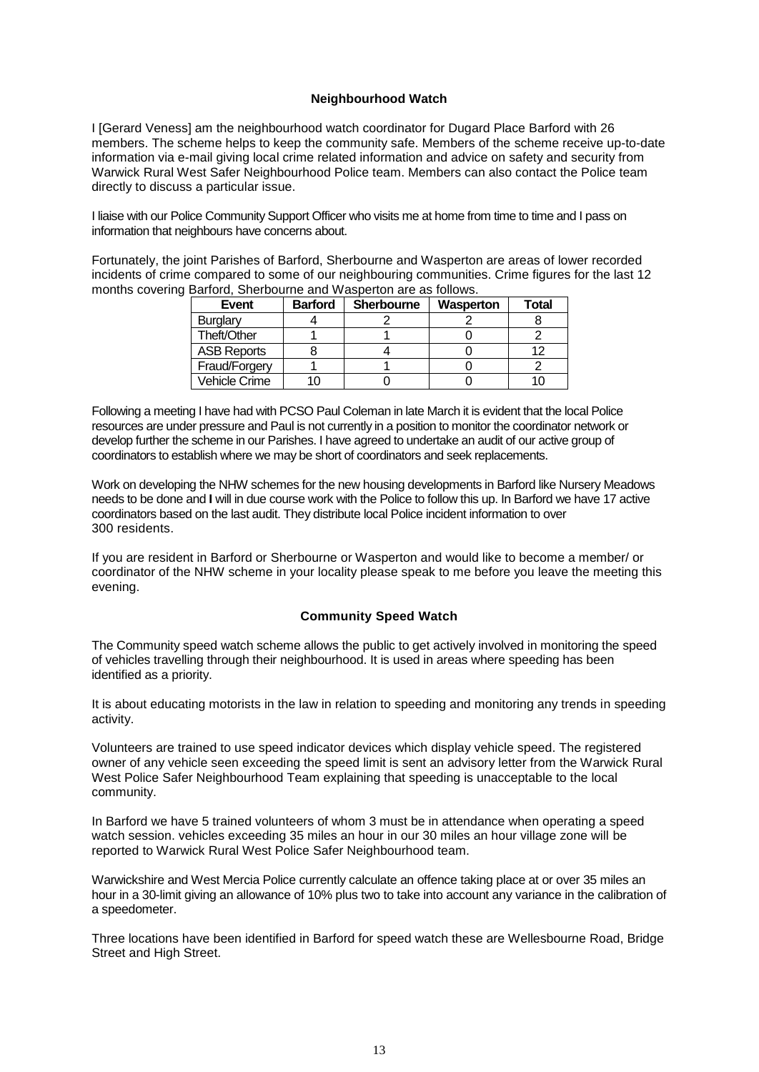# **Neighbourhood Watch**

I [Gerard Veness] am the neighbourhood watch coordinator for Dugard Place Barford with 26 members. The scheme helps to keep the community safe. Members of the scheme receive up-to-date information via e-mail giving local crime related information and advice on safety and security from Warwick Rural West Safer Neighbourhood Police team. Members can also contact the Police team directly to discuss a particular issue.

I liaise with our Police Community Support Officer who visits me at home from time to time and I pass on information that neighbours have concerns about.

Fortunately, the joint Parishes of Barford, Sherbourne and Wasperton are areas of lower recorded incidents of crime compared to some of our neighbouring communities. Crime figures for the last 12 months covering Barford, Sherbourne and Wasperton are as follows.

| Event              | <b>Barford</b> | <b>Sherbourne</b> | Wasperton | Total |
|--------------------|----------------|-------------------|-----------|-------|
| Burglary           |                |                   |           |       |
| Theft/Other        |                |                   |           |       |
| <b>ASB Reports</b> |                |                   |           | 12    |
| Fraud/Forgery      |                |                   |           |       |
| Vehicle Crime      |                |                   |           |       |

Following a meeting I have had with PCSO Paul Coleman in late March it is evident that the local Police resources are under pressure and Paul is not currently in a position to monitor the coordinator network or develop further the scheme in our Parishes. I have agreed to undertake an audit of our active group of coordinators to establish where we may be short of coordinators and seek replacements.

Work on developing the NHW schemes for the new housing developments in Barford like Nursery Meadows needs to be done and **I** will in due course work with the Police to follow this up. In Barford we have 17 active coordinators based on the last audit. They distribute local Police incident information to over 300 residents.

If you are resident in Barford or Sherbourne or Wasperton and would like to become a member/ or coordinator of the NHW scheme in your locality please speak to me before you leave the meeting this evening.

# **Community Speed Watch**

The Community speed watch scheme allows the public to get actively involved in monitoring the speed of vehicles travelling through their neighbourhood. It is used in areas where speeding has been identified as a priority.

It is about educating motorists in the law in relation to speeding and monitoring any trends in speeding activity.

Volunteers are trained to use speed indicator devices which display vehicle speed. The registered owner of any vehicle seen exceeding the speed limit is sent an advisory letter from the Warwick Rural West Police Safer Neighbourhood Team explaining that speeding is unacceptable to the local community.

In Barford we have 5 trained volunteers of whom 3 must be in attendance when operating a speed watch session. vehicles exceeding 35 miles an hour in our 30 miles an hour village zone will be reported to Warwick Rural West Police Safer Neighbourhood team.

Warwickshire and West Mercia Police currently calculate an offence taking place at or over 35 miles an hour in a 30-limit giving an allowance of 10% plus two to take into account any variance in the calibration of a speedometer.

Three locations have been identified in Barford for speed watch these are Wellesbourne Road, Bridge Street and High Street.